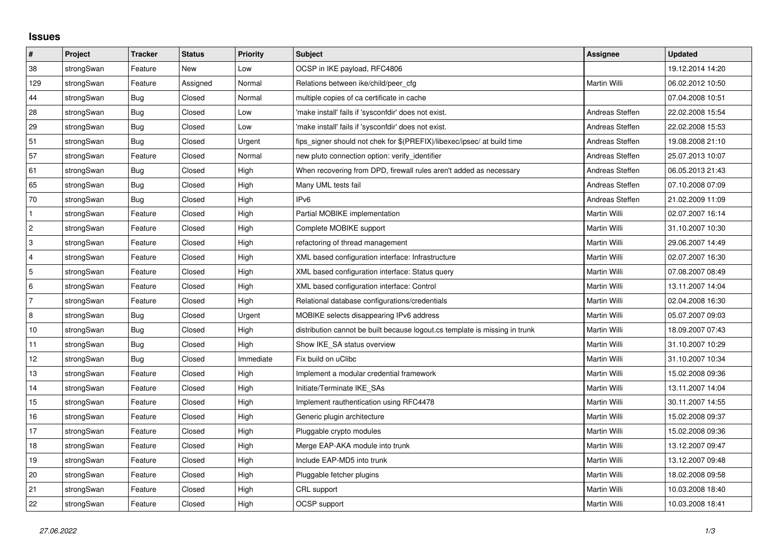## **Issues**

| #               | Project    | <b>Tracker</b> | <b>Status</b> | <b>Priority</b> | <b>Subject</b>                                                              | <b>Assignee</b> | <b>Updated</b>   |
|-----------------|------------|----------------|---------------|-----------------|-----------------------------------------------------------------------------|-----------------|------------------|
| 38              | strongSwan | Feature        | <b>New</b>    | Low             | OCSP in IKE payload, RFC4806                                                |                 | 19.12.2014 14:20 |
| 129             | strongSwan | Feature        | Assigned      | Normal          | Relations between ike/child/peer cfg                                        | Martin Willi    | 06.02.2012 10:50 |
| 44              | strongSwan | Bug            | Closed        | Normal          | multiple copies of ca certificate in cache                                  |                 | 07.04.2008 10:51 |
| 28              | strongSwan | Bug            | Closed        | Low             | 'make install' fails if 'sysconfdir' does not exist.                        | Andreas Steffen | 22.02.2008 15:54 |
| 29              | strongSwan | Bug            | Closed        | Low             | 'make install' fails if 'sysconfdir' does not exist.                        | Andreas Steffen | 22.02.2008 15:53 |
| 51              | strongSwan | Bug            | Closed        | Urgent          | fips_signer should not chek for \$(PREFIX)/libexec/ipsec/ at build time     | Andreas Steffen | 19.08.2008 21:10 |
| 57              | strongSwan | Feature        | Closed        | Normal          | new pluto connection option: verify identifier                              | Andreas Steffen | 25.07.2013 10:07 |
| 61              | strongSwan | <b>Bug</b>     | Closed        | High            | When recovering from DPD, firewall rules aren't added as necessary          | Andreas Steffen | 06.05.2013 21:43 |
| 65              | strongSwan | Bug            | Closed        | High            | Many UML tests fail                                                         | Andreas Steffen | 07.10.2008 07:09 |
| 70              | strongSwan | Bug            | Closed        | High            | IP <sub>v6</sub>                                                            | Andreas Steffen | 21.02.2009 11:09 |
| $\mathbf{1}$    | strongSwan | Feature        | Closed        | High            | Partial MOBIKE implementation                                               | Martin Willi    | 02.07.2007 16:14 |
| $\overline{c}$  | strongSwan | Feature        | Closed        | High            | Complete MOBIKE support                                                     | Martin Willi    | 31.10.2007 10:30 |
| 3               | strongSwan | Feature        | Closed        | High            | refactoring of thread management                                            | Martin Willi    | 29.06.2007 14:49 |
| 4               | strongSwan | Feature        | Closed        | High            | XML based configuration interface: Infrastructure                           | Martin Willi    | 02.07.2007 16:30 |
| 5               | strongSwan | Feature        | Closed        | High            | XML based configuration interface: Status query                             | Martin Willi    | 07.08.2007 08:49 |
| $6\phantom{.}6$ | strongSwan | Feature        | Closed        | High            | XML based configuration interface: Control                                  | Martin Willi    | 13.11.2007 14:04 |
| $\overline{7}$  | strongSwan | Feature        | Closed        | High            | Relational database configurations/credentials                              | Martin Willi    | 02.04.2008 16:30 |
| $\,8\,$         | strongSwan | Bug            | Closed        | Urgent          | MOBIKE selects disappearing IPv6 address                                    | Martin Willi    | 05.07.2007 09:03 |
| 10              | strongSwan | Bug            | Closed        | High            | distribution cannot be built because logout cs template is missing in trunk | Martin Willi    | 18.09.2007 07:43 |
| 11              | strongSwan | Bug            | Closed        | High            | Show IKE SA status overview                                                 | Martin Willi    | 31.10.2007 10:29 |
| 12              | strongSwan | Bug            | Closed        | Immediate       | Fix build on uClibc                                                         | Martin Willi    | 31.10.2007 10:34 |
| 13              | strongSwan | Feature        | Closed        | High            | Implement a modular credential framework                                    | Martin Willi    | 15.02.2008 09:36 |
| 14              | strongSwan | Feature        | Closed        | High            | Initiate/Terminate IKE_SAs                                                  | Martin Willi    | 13.11.2007 14:04 |
| 15              | strongSwan | Feature        | Closed        | High            | Implement rauthentication using RFC4478                                     | Martin Willi    | 30.11.2007 14:55 |
| 16              | strongSwan | Feature        | Closed        | High            | Generic plugin architecture                                                 | Martin Willi    | 15.02.2008 09:37 |
| 17              | strongSwan | Feature        | Closed        | High            | Pluggable crypto modules                                                    | Martin Willi    | 15.02.2008 09:36 |
| 18              | strongSwan | Feature        | Closed        | High            | Merge EAP-AKA module into trunk                                             | Martin Willi    | 13.12.2007 09:47 |
| 19              | strongSwan | Feature        | Closed        | High            | Include EAP-MD5 into trunk                                                  | Martin Willi    | 13.12.2007 09:48 |
| 20              | strongSwan | Feature        | Closed        | High            | Pluggable fetcher plugins                                                   | Martin Willi    | 18.02.2008 09:58 |
| 21              | strongSwan | Feature        | Closed        | High            | CRL support                                                                 | Martin Willi    | 10.03.2008 18:40 |
| 22              | strongSwan | Feature        | Closed        | High            | OCSP support                                                                | Martin Willi    | 10.03.2008 18:41 |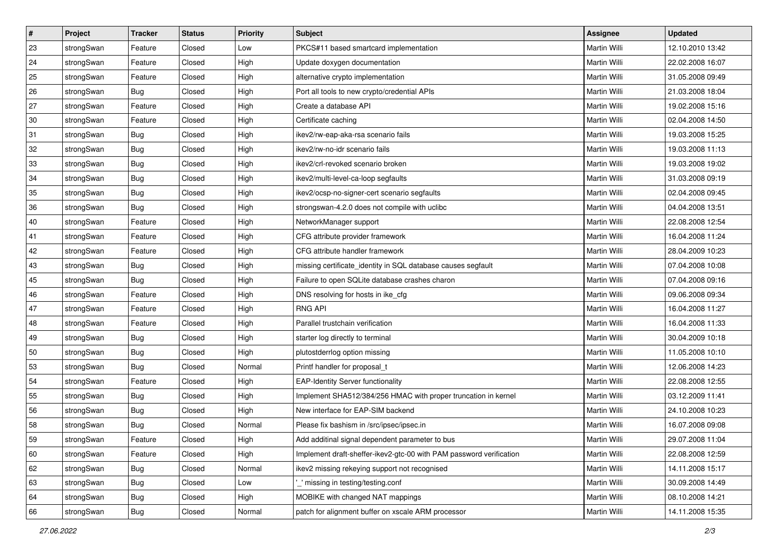| $\vert$ # | Project    | <b>Tracker</b> | <b>Status</b> | <b>Priority</b> | <b>Subject</b>                                                      | Assignee            | <b>Updated</b>   |
|-----------|------------|----------------|---------------|-----------------|---------------------------------------------------------------------|---------------------|------------------|
| 23        | strongSwan | Feature        | Closed        | Low             | PKCS#11 based smartcard implementation                              | Martin Willi        | 12.10.2010 13:42 |
| 24        | strongSwan | Feature        | Closed        | High            | Update doxygen documentation                                        | <b>Martin Willi</b> | 22.02.2008 16:07 |
| 25        | strongSwan | Feature        | Closed        | High            | alternative crypto implementation                                   | Martin Willi        | 31.05.2008 09:49 |
| 26        | strongSwan | Bug            | Closed        | High            | Port all tools to new crypto/credential APIs                        | Martin Willi        | 21.03.2008 18:04 |
| 27        | strongSwan | Feature        | Closed        | High            | Create a database API                                               | Martin Willi        | 19.02.2008 15:16 |
| 30        | strongSwan | Feature        | Closed        | High            | Certificate caching                                                 | Martin Willi        | 02.04.2008 14:50 |
| 31        | strongSwan | Bug            | Closed        | High            | ikev2/rw-eap-aka-rsa scenario fails                                 | Martin Willi        | 19.03.2008 15:25 |
| 32        | strongSwan | Bug            | Closed        | High            | ikev2/rw-no-idr scenario fails                                      | Martin Willi        | 19.03.2008 11:13 |
| 33        | strongSwan | <b>Bug</b>     | Closed        | High            | ikev2/crl-revoked scenario broken                                   | Martin Willi        | 19.03.2008 19:02 |
| 34        | strongSwan | <b>Bug</b>     | Closed        | High            | ikev2/multi-level-ca-loop segfaults                                 | Martin Willi        | 31.03.2008 09:19 |
| 35        | strongSwan | Bug            | Closed        | High            | ikev2/ocsp-no-signer-cert scenario segfaults                        | Martin Willi        | 02.04.2008 09:45 |
| 36        | strongSwan | <b>Bug</b>     | Closed        | High            | strongswan-4.2.0 does not compile with uclibc                       | Martin Willi        | 04.04.2008 13:51 |
| 40        | strongSwan | Feature        | Closed        | High            | NetworkManager support                                              | <b>Martin Willi</b> | 22.08.2008 12:54 |
| 41        | strongSwan | Feature        | Closed        | High            | CFG attribute provider framework                                    | Martin Willi        | 16.04.2008 11:24 |
| 42        | strongSwan | Feature        | Closed        | High            | CFG attribute handler framework                                     | <b>Martin Willi</b> | 28.04.2009 10:23 |
| 43        | strongSwan | <b>Bug</b>     | Closed        | High            | missing certificate_identity in SQL database causes segfault        | Martin Willi        | 07.04.2008 10:08 |
| 45        | strongSwan | <b>Bug</b>     | Closed        | High            | Failure to open SQLite database crashes charon                      | <b>Martin Willi</b> | 07.04.2008 09:16 |
| 46        | strongSwan | Feature        | Closed        | High            | DNS resolving for hosts in ike_cfg                                  | Martin Willi        | 09.06.2008 09:34 |
| 47        | strongSwan | Feature        | Closed        | High            | <b>RNG API</b>                                                      | Martin Willi        | 16.04.2008 11:27 |
| 48        | strongSwan | Feature        | Closed        | High            | Parallel trustchain verification                                    | Martin Willi        | 16.04.2008 11:33 |
| 49        | strongSwan | Bug            | Closed        | High            | starter log directly to terminal                                    | Martin Willi        | 30.04.2009 10:18 |
| 50        | strongSwan | <b>Bug</b>     | Closed        | High            | plutostderrlog option missing                                       | Martin Willi        | 11.05.2008 10:10 |
| 53        | strongSwan | Bug            | Closed        | Normal          | Printf handler for proposal_t                                       | Martin Willi        | 12.06.2008 14:23 |
| 54        | strongSwan | Feature        | Closed        | High            | <b>EAP-Identity Server functionality</b>                            | Martin Willi        | 22.08.2008 12:55 |
| 55        | strongSwan | <b>Bug</b>     | Closed        | High            | Implement SHA512/384/256 HMAC with proper truncation in kernel      | Martin Willi        | 03.12.2009 11:41 |
| 56        | strongSwan | <b>Bug</b>     | Closed        | High            | New interface for EAP-SIM backend                                   | Martin Willi        | 24.10.2008 10:23 |
| 58        | strongSwan | Bug            | Closed        | Normal          | Please fix bashism in /src/ipsec/ipsec.in                           | Martin Willi        | 16.07.2008 09:08 |
| 59        | strongSwan | Feature        | Closed        | High            | Add additinal signal dependent parameter to bus                     | Martin Willi        | 29.07.2008 11:04 |
| 60        | strongSwan | Feature        | Closed        | High            | Implement draft-sheffer-ikev2-gtc-00 with PAM password verification | Martin Willi        | 22.08.2008 12:59 |
| 62        | strongSwan | Bug            | Closed        | Normal          | ikev2 missing rekeying support not recognised                       | Martin Willi        | 14.11.2008 15:17 |
| 63        | strongSwan | <b>Bug</b>     | Closed        | Low             | missing in testing/testing.conf                                     | Martin Willi        | 30.09.2008 14:49 |
| 64        | strongSwan | Bug            | Closed        | High            | MOBIKE with changed NAT mappings                                    | Martin Willi        | 08.10.2008 14:21 |
| 66        | strongSwan | <b>Bug</b>     | Closed        | Normal          | patch for alignment buffer on xscale ARM processor                  | Martin Willi        | 14.11.2008 15:35 |